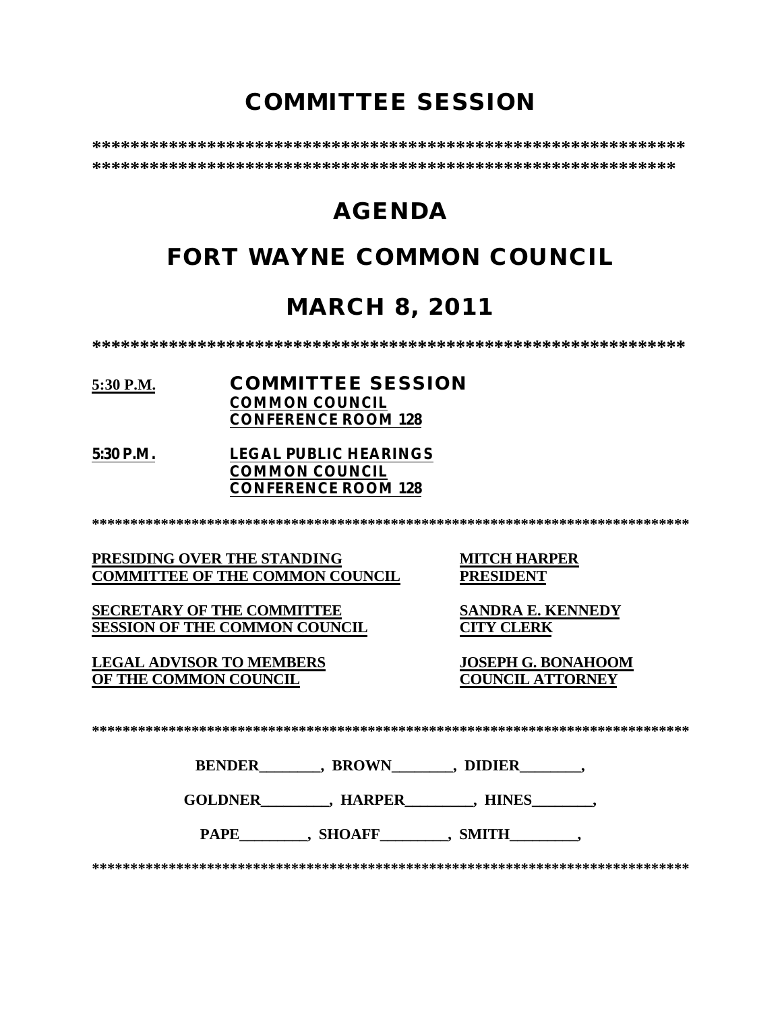# **COMMITTEE SESSION**

**\*\*\*\*\*\*\*\*\*\*\*\*\*\*\*\*\*\*\*\*\*\*\*\*\*\*\*\*\*\*\*\*\*\*\*\*\*\*\*\*\*\*\*\*\*\*\*\*\*\*\*\*\*\*\*\*\*\*\*\*\*\* \*\*\*\*\*\*\*\*\*\*\*\*\*\*\*\*\*\*\*\*\*\*\*\*\*\*\*\*\*\*\*\*\*\*\*\*\*\*\*\*\*\*\*\*\*\*\*\*\*\*\*\*\*\*\*\*\*\*\*\*\***

# **AGENDA**

# **FORT WAYNE COMMON COUNCIL**

# **MARCH 8, 2011**

**\*\*\*\*\*\*\*\*\*\*\*\*\*\*\*\*\*\*\*\*\*\*\*\*\*\*\*\*\*\*\*\*\*\*\*\*\*\*\*\*\*\*\*\*\*\*\*\*\*\*\*\*\*\*\*\*\*\*\*\*\*\***

### **5:30 P.M. COMMITTEE SESSION COMMON COUNCIL CONFERENCE ROOM 128**

**5:30 P.M. LEGAL PUBLIC HEARINGS COMMON COUNCIL CONFERENCE ROOM 128**

**\*\*\*\*\*\*\*\*\*\*\*\*\*\*\*\*\*\*\*\*\*\*\*\*\*\*\*\*\*\*\*\*\*\*\*\*\*\*\*\*\*\*\*\*\*\*\*\*\*\*\*\*\*\*\*\*\*\*\*\*\*\*\*\*\*\*\*\*\*\*\*\*\*\*\*\*\*\***

**PRESIDING OVER THE STANDING MITCH HARPER<br>
COMMITTEE OF THE COMMON COUNCIL PRESIDENT COMMITTEE OF THE COMMON COUNCIL** 

**SECRETARY OF THE COMMITTEE SANDRA E. KENNEDY SESSION OF THE COMMON COUNCIL CITY CLERK**

**LEGAL ADVISOR TO MEMBERS JOSEPH G. BONAHOOM OF THE COMMON COUNCIL** 

**\*\*\*\*\*\*\*\*\*\*\*\*\*\*\*\*\*\*\*\*\*\*\*\*\*\*\*\*\*\*\*\*\*\*\*\*\*\*\*\*\*\*\*\*\*\*\*\*\*\*\*\*\*\*\*\*\*\*\*\*\*\*\*\*\*\*\*\*\*\*\*\*\*\*\*\*\*\***

**BENDER** , BROWN , DIDIER

**GOLDNER\_\_\_\_\_\_\_\_\_, HARPER\_\_\_\_\_\_\_\_\_, HINES\_\_\_\_\_\_\_\_,** 

PAPE , SHOAFF , SMITH

**\*\*\*\*\*\*\*\*\*\*\*\*\*\*\*\*\*\*\*\*\*\*\*\*\*\*\*\*\*\*\*\*\*\*\*\*\*\*\*\*\*\*\*\*\*\*\*\*\*\*\*\*\*\*\*\*\*\*\*\*\*\*\*\*\*\*\*\*\*\*\*\*\*\*\*\*\*\***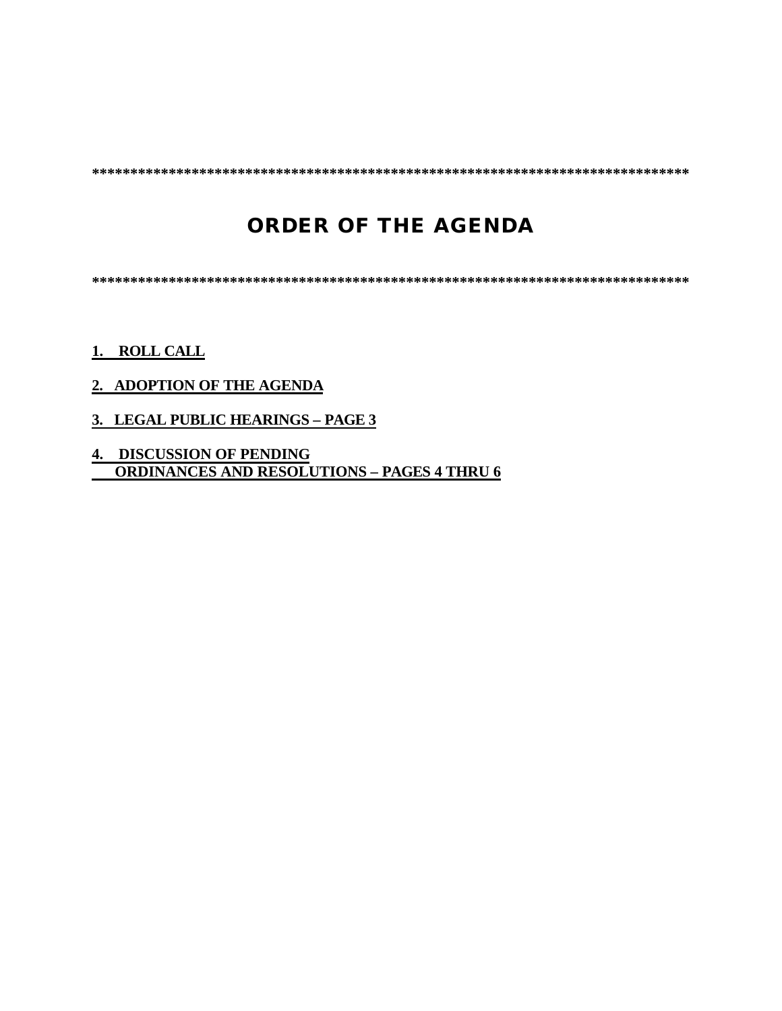**\*\*\*\*\*\*\*\*\*\*\*\*\*\*\*\*\*\*\*\*\*\*\*\*\*\*\*\*\*\*\*\*\*\*\*\*\*\*\*\*\*\*\*\*\*\*\*\*\*\*\*\*\*\*\*\*\*\*\*\*\*\*\*\*\*\*\*\*\*\*\*\*\*\*\*\*\*\***

# **ORDER OF THE AGENDA**

**\*\*\*\*\*\*\*\*\*\*\*\*\*\*\*\*\*\*\*\*\*\*\*\*\*\*\*\*\*\*\*\*\*\*\*\*\*\*\*\*\*\*\*\*\*\*\*\*\*\*\*\*\*\*\*\*\*\*\*\*\*\*\*\*\*\*\*\*\*\*\*\*\*\*\*\*\*\***

### **1. ROLL CALL**

### **2. ADOPTION OF THE AGENDA**

- **3. LEGAL PUBLIC HEARINGS PAGE 3**
- **4. DISCUSSION OF PENDING ORDINANCES AND RESOLUTIONS – PAGES 4 THRU 6**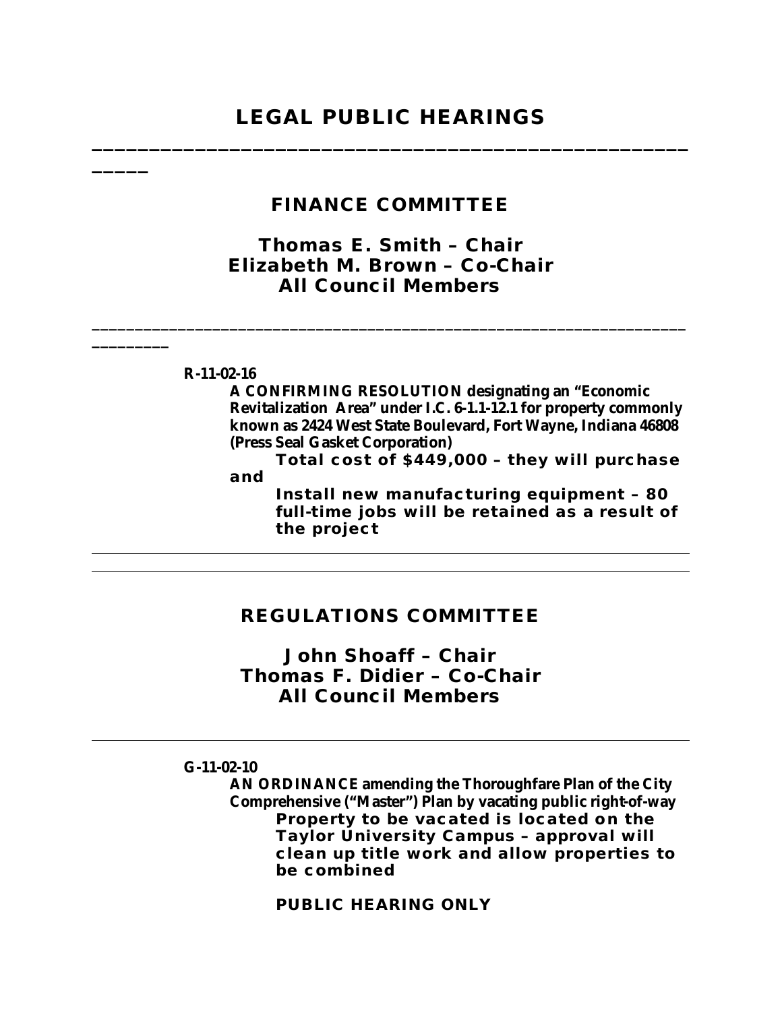## **LEGAL PUBLIC HEARINGS \_\_\_\_\_\_\_\_\_\_\_\_\_\_\_\_\_\_\_\_\_\_\_\_\_\_\_\_\_\_\_\_\_\_\_\_\_\_\_\_\_\_\_\_\_\_\_\_\_\_\_\_**

| <b>FINANCE COMMITTEE</b>                                                                                                                                                                                                                                                                                                                                                                                     |
|--------------------------------------------------------------------------------------------------------------------------------------------------------------------------------------------------------------------------------------------------------------------------------------------------------------------------------------------------------------------------------------------------------------|
| Thomas E. Smith - Chair<br>Elizabeth M. Brown - Co-Chair<br><b>All Council Members</b>                                                                                                                                                                                                                                                                                                                       |
| $R-11-02-16$<br>A CONFIRMING RESOLUTION designating an "Economic<br>Revitalization Area" under I.C. 6-1.1-12.1 for property commonly<br>known as 2424 West State Boulevard, Fort Wayne, Indiana 46808<br>(Press Seal Gasket Corporation)<br>Total cost of \$449,000 - they will purchase<br>and<br>Install new manufacturing equipment - 80<br>full-time jobs will be retained as a result of<br>the project |
|                                                                                                                                                                                                                                                                                                                                                                                                              |
|                                                                                                                                                                                                                                                                                                                                                                                                              |

### **REGULATIONS COMMITTEE**

*John Shoaff – Chair Thomas F. Didier – Co-Chair All Council Members*

### **G-11-02-10**

**AN ORDINANCE amending the Thoroughfare Plan of the City Comprehensive ("Master") Plan by vacating public right-of-way Property to be vacated is located on the Taylor University Campus – approval will clean up title work and allow properties to be combined**

**PUBLIC HEARING ONLY**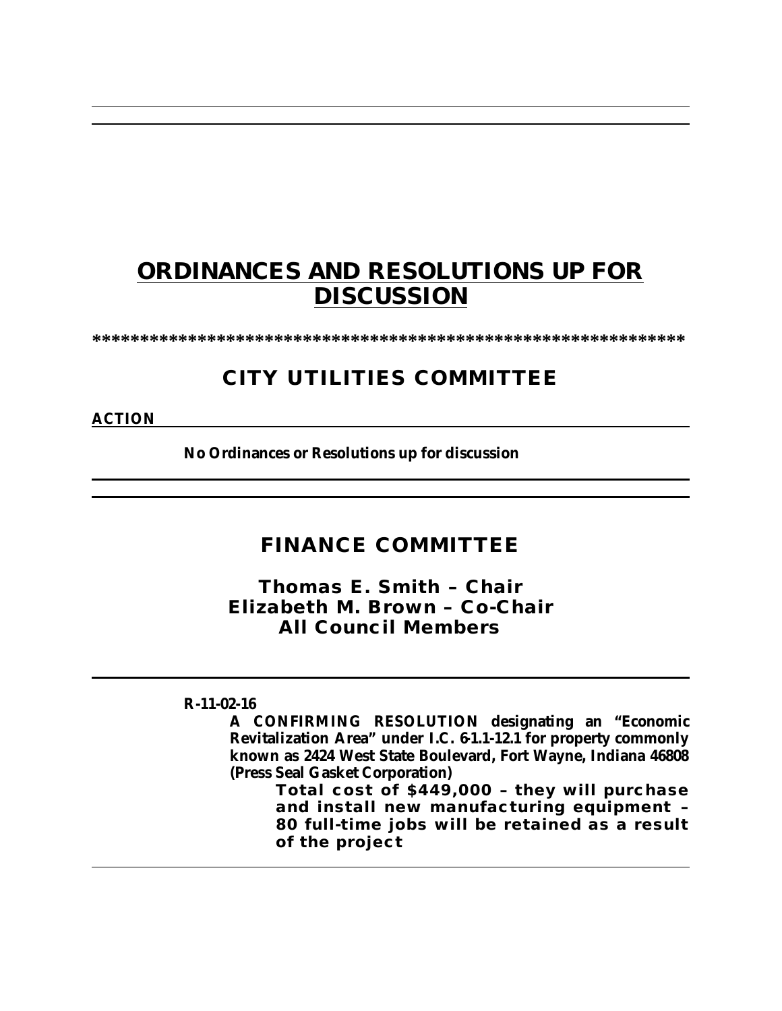# **ORDINANCES AND RESOLUTIONS UP FOR DISCUSSION**

**\*\*\*\*\*\*\*\*\*\*\*\*\*\*\*\*\*\*\*\*\*\*\*\*\*\*\*\*\*\*\*\*\*\*\*\*\*\*\*\*\*\*\*\*\*\*\*\*\*\*\*\*\*\*\*\*\*\*\*\*\*\***

# **CITY UTILITIES COMMITTEE**

**ACTION**

**No Ordinances or Resolutions up for discussion**

### **FINANCE COMMITTEE**

*Thomas E. Smith – Chair Elizabeth M. Brown – Co-Chair All Council Members*

**R-11-02-16**

**A CONFIRMING RESOLUTION designating an "Economic Revitalization Area" under I.C. 61.1-12.1 for property commonly known as 2424 West State Boulevard, Fort Wayne, Indiana 46808 (Press Seal Gasket Corporation)**

**Total cost of \$449,000 – they will purchase and install new manufacturing equipment – 80 full-time jobs will be retained as a result of the project**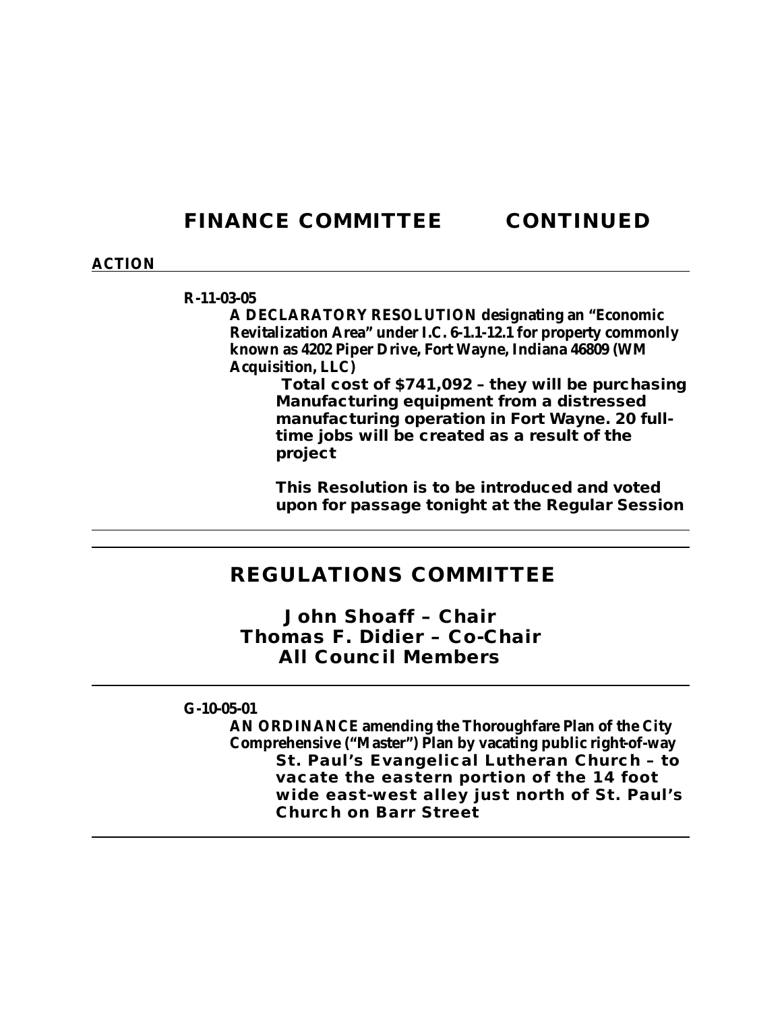### **FINANCE COMMITTEE CONTINUED**

### **ACTION**

#### **R-11-03-05**

**A DECLARATORY RESOLUTION designating an "Economic Revitalization Area" under I.C. 6-1.1-12.1 for property commonly known as 4202 Piper Drive, Fort Wayne, Indiana 46809 (WM Acquisition, LLC)**

> **Total cost of \$741,092 – they will be purchasing Manufacturing equipment from a distressed manufacturing operation in Fort Wayne. 20 fulltime jobs will be created as a result of the project**

> **This Resolution is to be introduced and voted upon for passage tonight at the Regular Session**

### **REGULATIONS COMMITTEE**

*John Shoaff – Chair Thomas F. Didier – Co-Chair All Council Members*

**G-10-05-01**

**AN ORDINANCE amending the Thoroughfare Plan of the City Comprehensive ("Master") Plan by vacating public right-of-way St. Paul's Evangelical Lutheran Church – to vacate the eastern portion of the 14 foot wide east-west alley just north of St. Paul's Church on Barr Street**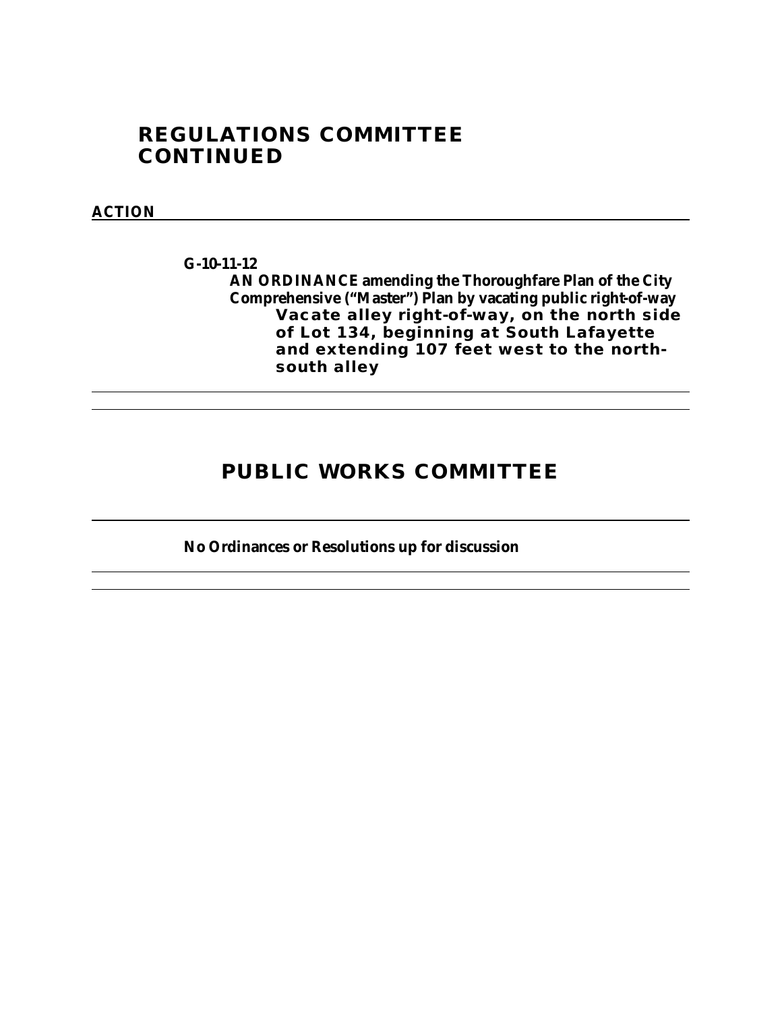## **REGULATIONS COMMITTEE CONTINUED**

### **ACTION**

**G-10-11-12 AN ORDINANCE amending the Thoroughfare Plan of the City Comprehensive ("Master") Plan by vacating public right-of-way Vacate alley right-of-way, on the north side of Lot 134, beginning at South Lafayette and extending 107 feet west to the northsouth alley**

### **PUBLIC WORKS COMMITTEE**

**No Ordinances or Resolutions up for discussion**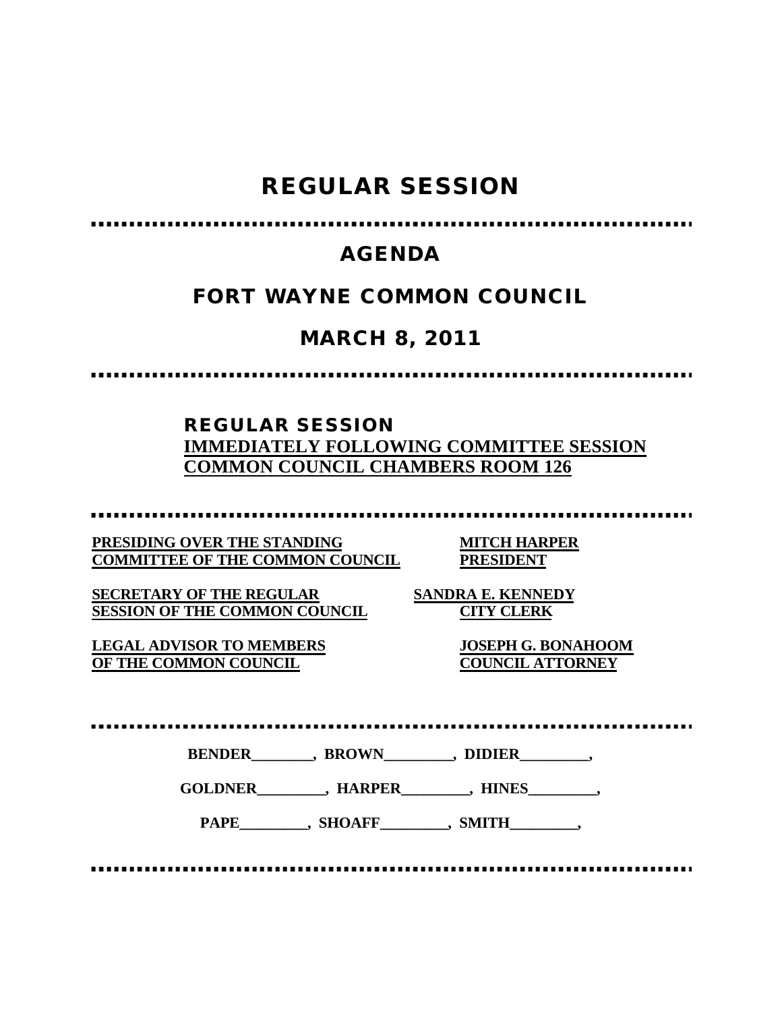# **REGULAR SESSION**

## **AGENDA**

## **FORT WAYNE COMMON COUNCIL**

# **MARCH 8, 2011**

### **REGULAR SESSION IMMEDIATELY FOLLOWING COMMITTEE SESSION COMMON COUNCIL CHAMBERS ROOM 126**

**PRESIDING OVER THE STANDING MITCH HARPER COMMITTEE OF THE COMMON COUNCIL PRESIDENT**

**SECRETARY OF THE REGULAR SANDRA E. KENNEDY SESSION OF THE COMMON COUNCIL CITY CLERK**

**LEGAL ADVISOR TO MEMBERS JOSEPH G. BONAHOOM OF THE COMMON COUNCIL** 

**BENDER\_\_\_\_\_\_\_\_, BROWN\_\_\_\_\_\_\_\_\_, DIDIER\_\_\_\_\_\_\_\_\_,**

**GOLDNER\_\_\_\_\_\_\_\_\_, HARPER\_\_\_\_\_\_\_\_\_, HINES\_\_\_\_\_\_\_\_\_,**

PAPE\_\_\_\_\_\_\_\_\_, SHOAFF\_\_\_\_\_\_\_\_, SMITH\_\_\_\_\_\_\_\_,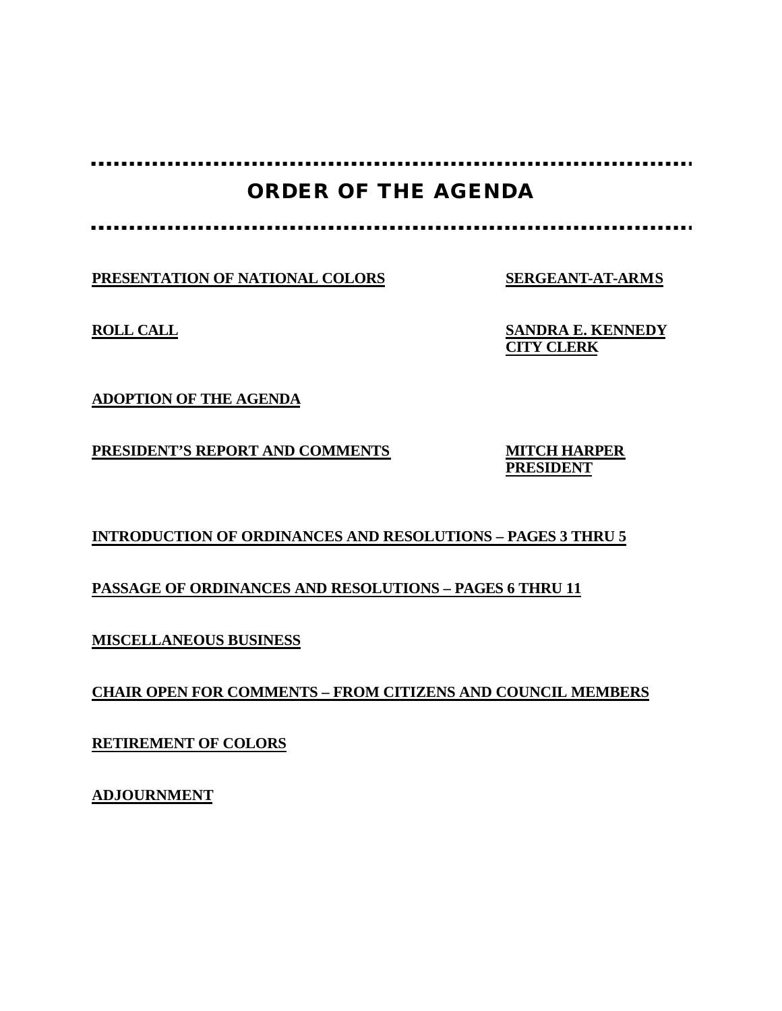## **ORDER OF THE AGENDA**

**PRESENTATION OF NATIONAL COLORS SERGEANT-AT-ARMS**

**ROLL CALL SANDRA E. KENNEDY CITY CLERK**

**ADOPTION OF THE AGENDA**

**PRESIDENT'S REPORT AND COMMENTS MITCH HARPER**

**PRESIDENT**

### **INTRODUCTION OF ORDINANCES AND RESOLUTIONS – PAGES 3 THRU 5**

### **PASSAGE OF ORDINANCES AND RESOLUTIONS – PAGES 6 THRU 11**

**MISCELLANEOUS BUSINESS**

**CHAIR OPEN FOR COMMENTS – FROM CITIZENS AND COUNCIL MEMBERS**

**RETIREMENT OF COLORS**

**ADJOURNMENT**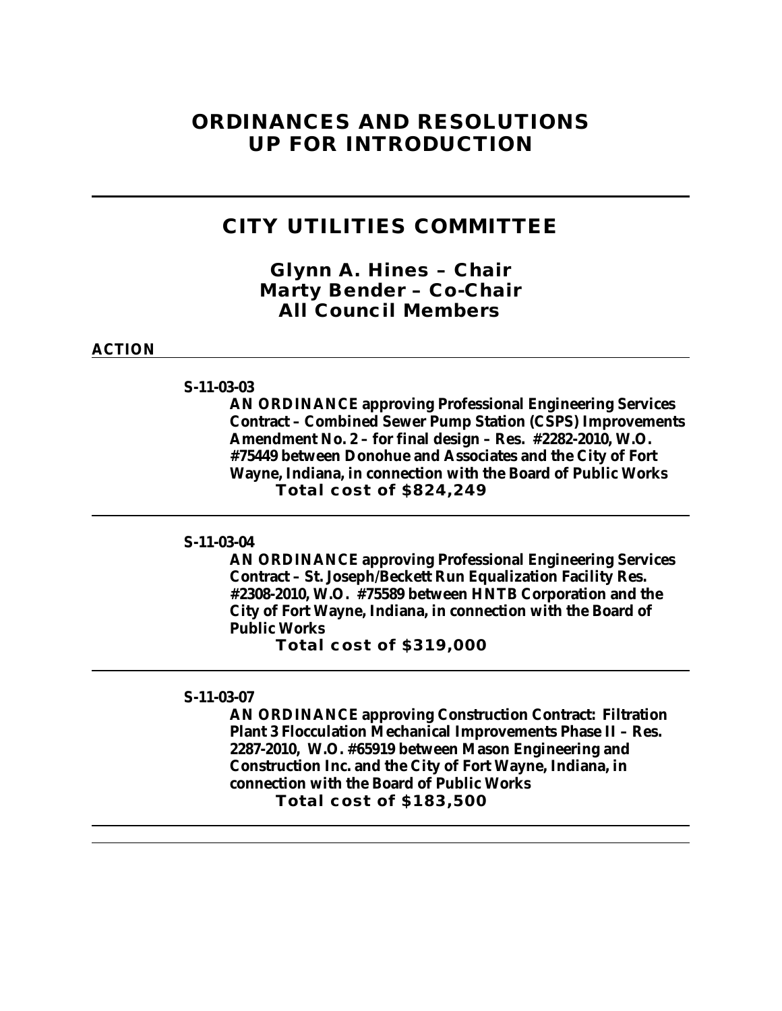### **ORDINANCES AND RESOLUTIONS UP FOR INTRODUCTION**

### **CITY UTILITIES COMMITTEE**

*Glynn A. Hines – Chair Marty Bender – Co-Chair All Council Members*

### **ACTION**

#### **S-11-03-03**

**AN ORDINANCE approving Professional Engineering Services Contract – Combined Sewer Pump Station (CSPS) Improvements Amendment No. 2 – for final design – Res. #2282-2010, W.O. #75449 between Donohue and Associates and the City of Fort Wayne, Indiana, in connection with the Board of Public Works Total cost of \$824,249** 

#### **S-11-03-04**

**AN ORDINANCE approving Professional Engineering Services Contract – St. Joseph/Beckett Run Equalization Facility Res. #2308-2010, W.O. #75589 between HNTB Corporation and the City of Fort Wayne, Indiana, in connection with the Board of Public Works**

**Total cost of \$319,000**

#### **S-11-03-07**

**AN ORDINANCE approving Construction Contract: Filtration Plant 3 Flocculation Mechanical Improvements Phase II – Res. 2287-2010, W.O. #65919 between Mason Engineering and Construction Inc. and the City of Fort Wayne, Indiana, in connection with the Board of Public Works Total cost of \$183,500**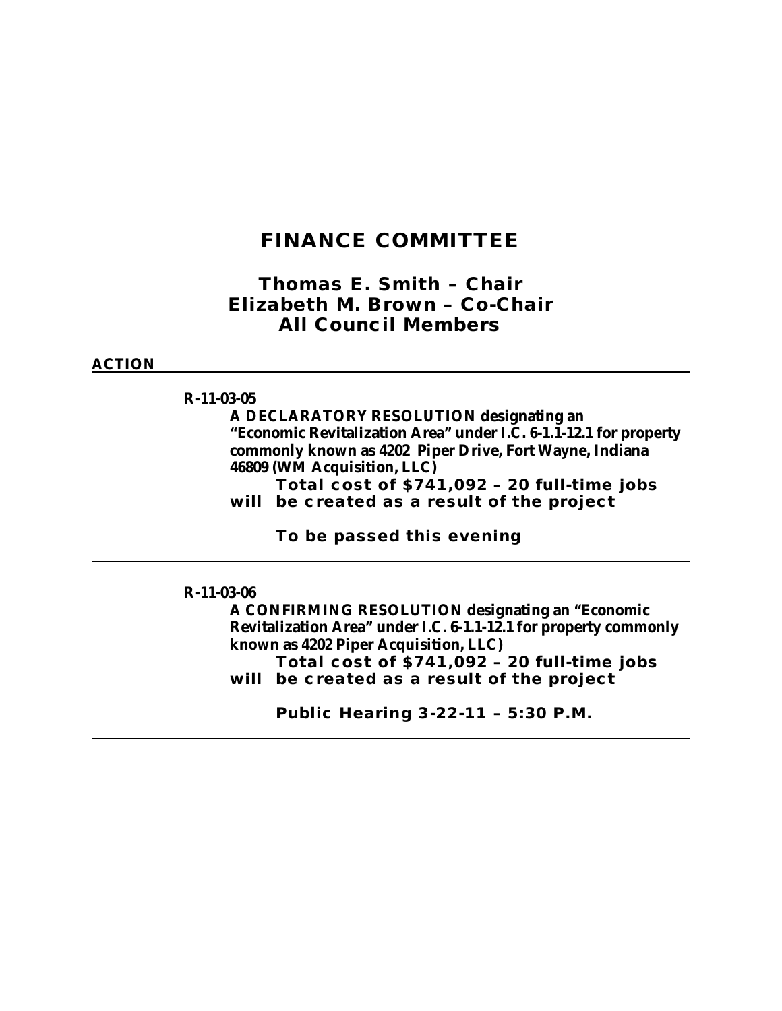### **FINANCE COMMITTEE**

*Thomas E. Smith – Chair Elizabeth M. Brown – Co-Chair All Council Members*

### **ACTION**

**R-11-03-05**

**A DECLARATORY RESOLUTION designating an "Economic Revitalization Area" under I.C. 6-1.1-12.1 for property commonly known as 4202 Piper Drive, Fort Wayne, Indiana 46809 (WM Acquisition, LLC)**

**Total cost of \$741,092 – 20 full-time jobs will be created as a result of the project**

**To be passed this evening**

#### **R-11-03-06**

**A CONFIRMING RESOLUTION designating an "Economic Revitalization Area" under I.C. 6-1.1-12.1 for property commonly known as 4202 Piper Acquisition, LLC) Total cost of \$741,092 – 20 full-time jobs will be created as a result of the project**

**Public Hearing 3-22-11 – 5:30 P.M.**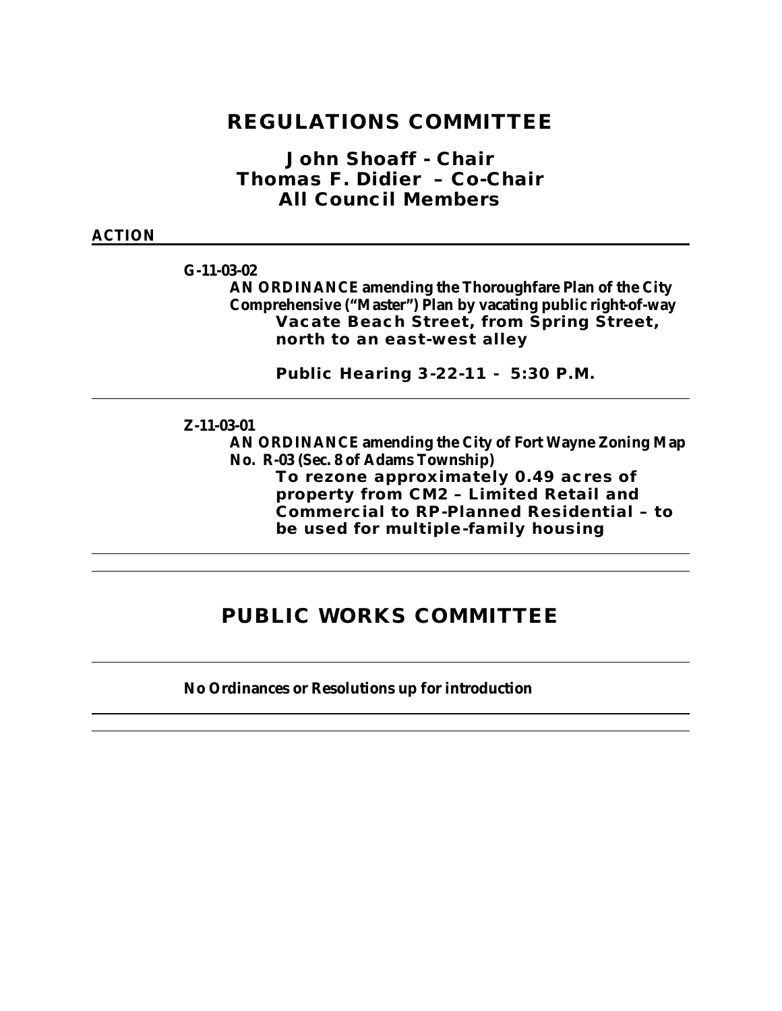### **REGULATIONS COMMITTEE**

*John Shoaff - Chair Thomas F. Didier – Co-Chair All Council Members*

#### **ACTION**

**G-11-03-02**

**AN ORDINANCE amending the Thoroughfare Plan of the City Comprehensive ("Master") Plan by vacating public right-of-way Vacate Beach Street, from Spring Street, north to an east-west alley**

**Public Hearing 3-22-11 - 5:30 P.M.**

#### **Z-11-03-01**

**AN ORDINANCE amending the City of Fort Wayne Zoning Map No. R-03 (Sec. 8 of Adams Township)**

**To rezone approximately 0.49 acres of property from CM2 – Limited Retail and Commercial to RP-Planned Residential – to be used for multiple-family housing** 

## **PUBLIC WORKS COMMITTEE**

**No Ordinances or Resolutions up for introduction**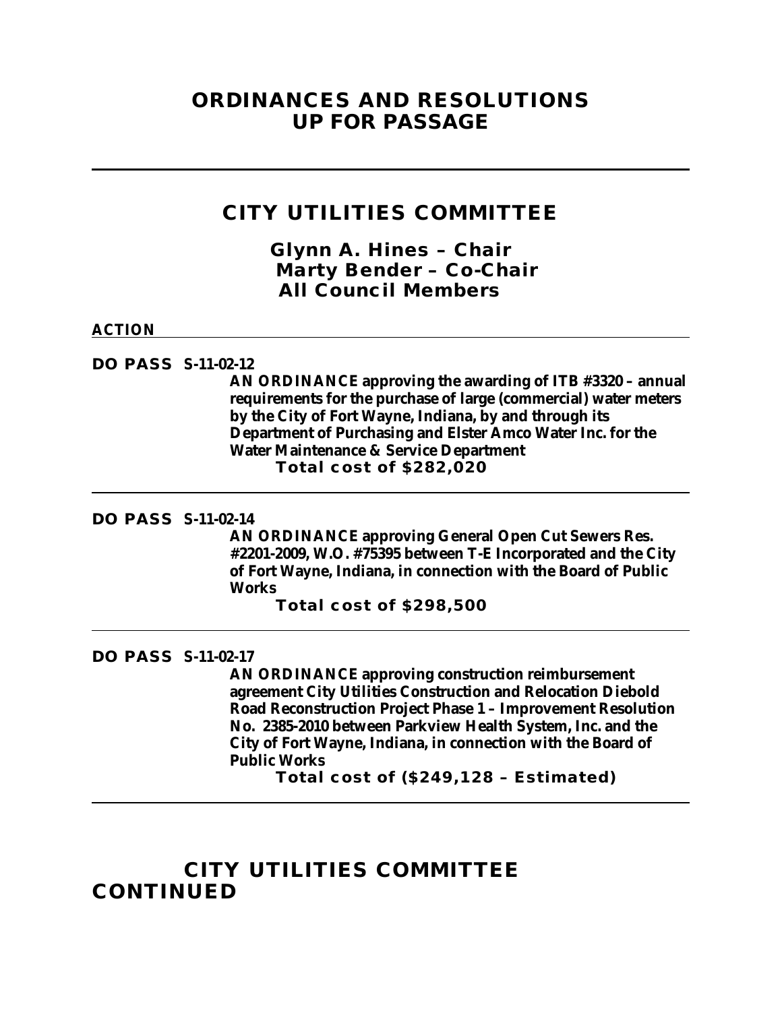### **ORDINANCES AND RESOLUTIONS UP FOR PASSAGE**

### **CITY UTILITIES COMMITTEE**

*Glynn A. Hines – Chair Marty Bender – Co-Chair All Council Members*

### **ACTION**

**DO PASS S-11-02-12**

**AN ORDINANCE approving the awarding of ITB #3320 – annual requirements for the purchase of large (commercial) water meters by the City of Fort Wayne, Indiana, by and through its Department of Purchasing and Elster Amco Water Inc. for the Water Maintenance & Service Department Total cost of \$282,020**

### **DO PASS S-11-02-14**

**AN ORDINANCE approving General Open Cut Sewers Res. #2201-2009, W.O. #75395 between T-E Incorporated and the City of Fort Wayne, Indiana, in connection with the Board of Public Works**

**Total cost of \$298,500**

#### **DO PASS S-11-02-17**

**AN ORDINANCE approving construction reimbursement agreement City Utilities Construction and Relocation Diebold Road Reconstruction Project Phase 1 – Improvement Resolution No. 2385-2010 between Parkview Health System, Inc. and the City of Fort Wayne, Indiana, in connection with the Board of Public Works**

**Total cost of (\$249,128 – Estimated)**

## **CITY UTILITIES COMMITTEE CONTINUED**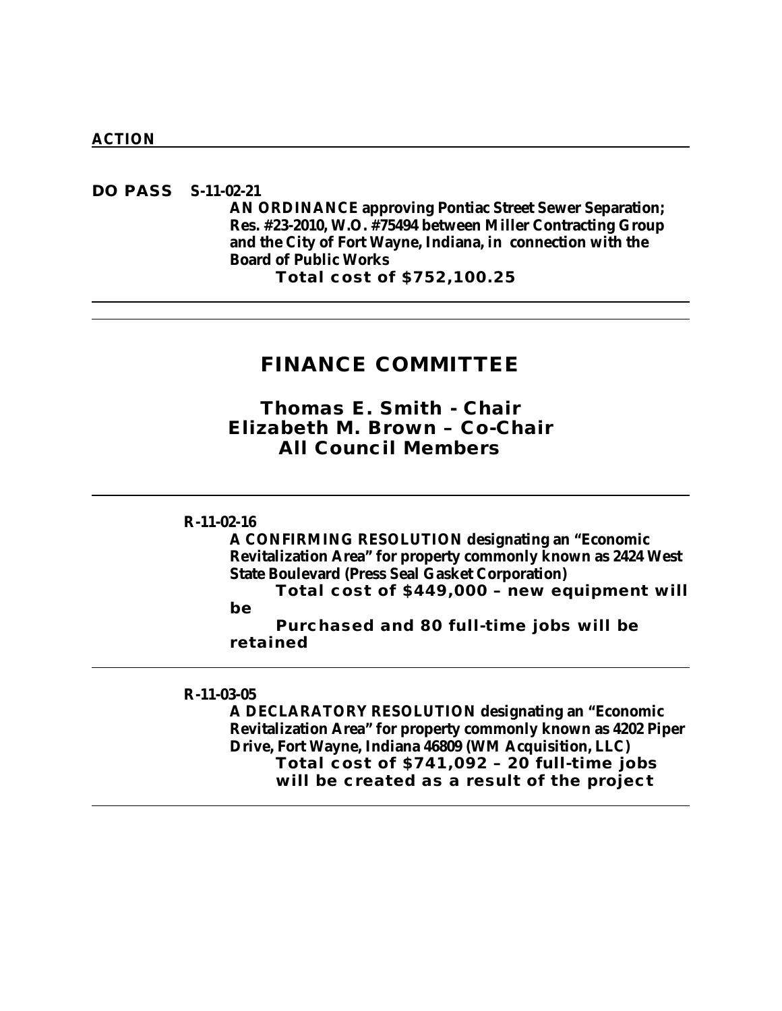**DO PASS S-11-02-21 AN ORDINANCE approving Pontiac Street Sewer Separation; Res. #23-2010, W.O. #75494 between Miller Contracting Group and the City of Fort Wayne, Indiana, in connection with the Board of Public Works Total cost of \$752,100.25**

### **FINANCE COMMITTEE**

*Thomas E. Smith - Chair Elizabeth M. Brown – Co-Chair All Council Members*

### **R-11-02-16**

**A CONFIRMING RESOLUTION designating an "Economic Revitalization Area" for property commonly known as 2424 West State Boulevard (Press Seal Gasket Corporation)**

**Total cost of \$449,000 – new equipment will be** 

**Purchased and 80 full-time jobs will be retained**

#### **R-11-03-05**

**A DECLARATORY RESOLUTION designating an "Economic Revitalization Area" for property commonly known as 4202 Piper Drive, Fort Wayne, Indiana 46809 (WM Acquisition, LLC) Total cost of \$741,092 – 20 full-time jobs will be created as a result of the project**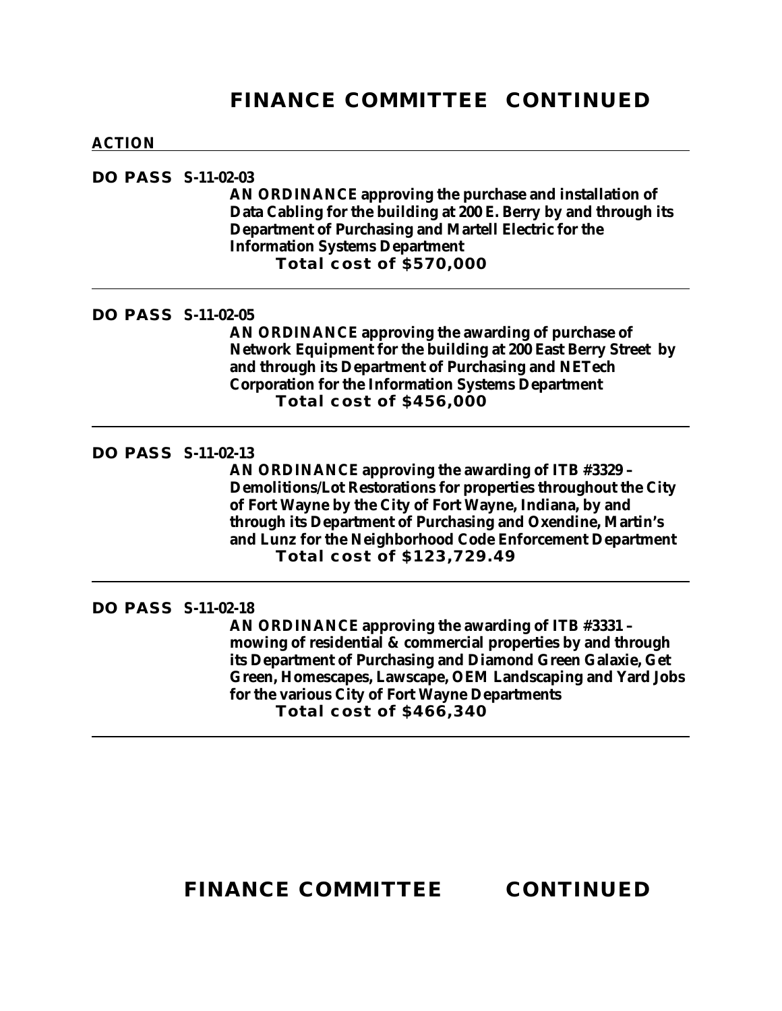## **FINANCE COMMITTEE CONTINUED**

#### **ACTION**

### **DO PASS S-11-02-03**

**AN ORDINANCE approving the purchase and installation of Data Cabling for the building at 200 E. Berry by and through its Department of Purchasing and Martell Electric for the Information Systems Department Total cost of \$570,000**

### **DO PASS S-11-02-05**

**AN ORDINANCE approving the awarding of purchase of Network Equipment for the building at 200 East Berry Street by and through its Department of Purchasing and NETech Corporation for the Information Systems Department Total cost of \$456,000**

### **DO PASS S-11-02-13**

**AN ORDINANCE approving the awarding of ITB #3329 – Demolitions/Lot Restorations for properties throughout the City of Fort Wayne by the City of Fort Wayne, Indiana, by and through its Department of Purchasing and Oxendine, Martin's and Lunz for the Neighborhood Code Enforcement Department Total cost of \$123,729.49**

### **DO PASS S-11-02-18**

**AN ORDINANCE approving the awarding of ITB #3331 – mowing of residential & commercial properties by and through its Department of Purchasing and Diamond Green Galaxie, Get Green, Homescapes, Lawscape, OEM Landscaping and Yard Jobs for the various City of Fort Wayne Departments Total cost of \$466,340**

## **FINANCE COMMITTEE CONTINUED**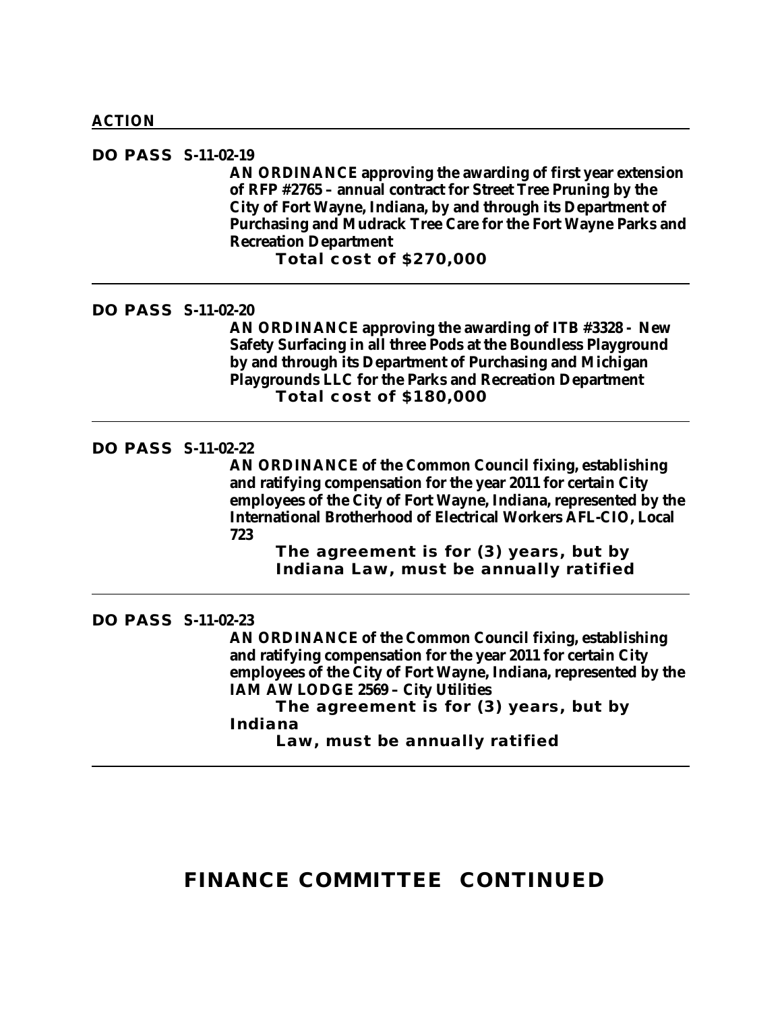#### **DO PASS S-11-02-19**

**AN ORDINANCE approving the awarding of first year extension of RFP #2765 – annual contract for Street Tree Pruning by the City of Fort Wayne, Indiana, by and through its Department of Purchasing and Mudrack Tree Care for the Fort Wayne Parks and Recreation Department**

**Total cost of \$270,000**

### **DO PASS S-11-02-20**

**AN ORDINANCE approving the awarding of ITB #3328 - New Safety Surfacing in all three Pods at the Boundless Playground by and through its Department of Purchasing and Michigan Playgrounds LLC for the Parks and Recreation Department Total cost of \$180,000**

#### **DO PASS S-11-02-22**

**AN ORDINANCE of the Common Council fixing, establishing and ratifying compensation for the year 2011 for certain City employees of the City of Fort Wayne, Indiana, represented by the International Brotherhood of Electrical Workers AFL-CIO, Local 723**

**The agreement is for (3) years, but by Indiana Law, must be annually ratified**

#### **DO PASS S-11-02-23**

**AN ORDINANCE of the Common Council fixing, establishing and ratifying compensation for the year 2011 for certain City employees of the City of Fort Wayne, Indiana, represented by the IAM AW LODGE 2569 – City Utilities** 

**The agreement is for (3) years, but by Indiana** 

**Law, must be annually ratified**

## **FINANCE COMMITTEE CONTINUED**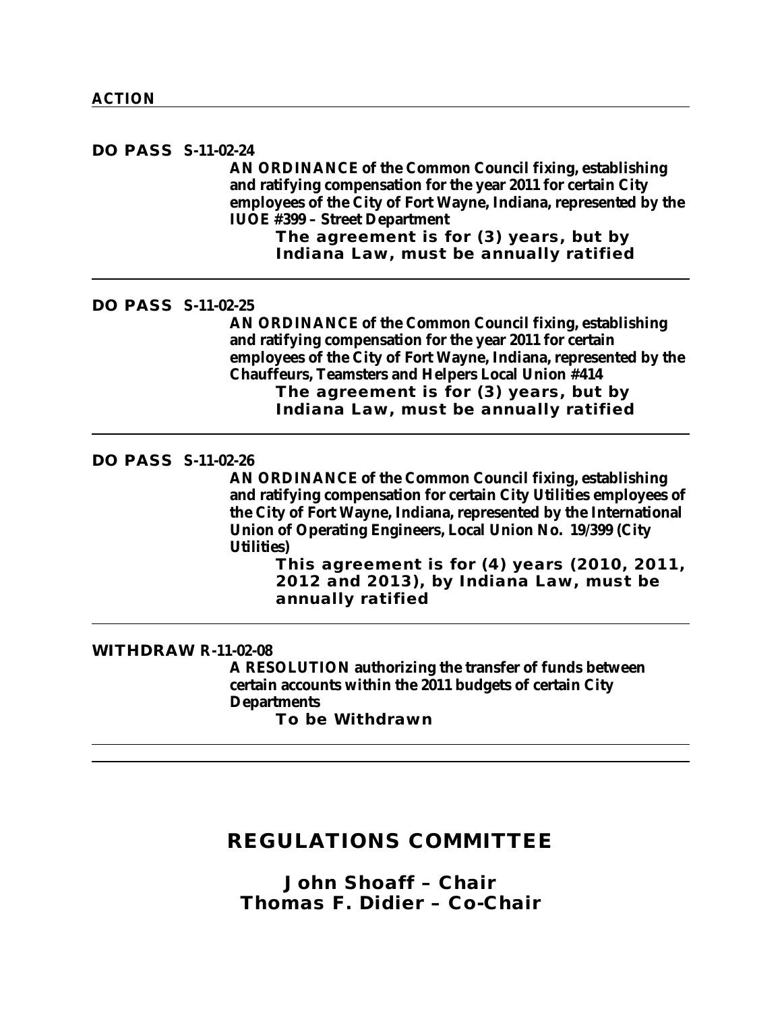**DO PASS S-11-02-24 AN ORDINANCE of the Common Council fixing, establishing and ratifying compensation for the year 2011 for certain City employees of the City of Fort Wayne, Indiana, represented by the IUOE #399 – Street Department**

**The agreement is for (3) years, but by Indiana Law, must be annually ratified**

**DO PASS S-11-02-25**

**AN ORDINANCE of the Common Council fixing, establishing and ratifying compensation for the year 2011 for certain employees of the City of Fort Wayne, Indiana, represented by the Chauffeurs, Teamsters and Helpers Local Union #414 The agreement is for (3) years, but by Indiana Law, must be annually ratified**

#### **DO PASS S-11-02-26**

**AN ORDINANCE of the Common Council fixing, establishing and ratifying compensation for certain City Utilities employees of the City of Fort Wayne, Indiana, represented by the International Union of Operating Engineers, Local Union No. 19/399 (City Utilities)**

**This agreement is for (4) years (2010, 2011, 2012 and 2013), by Indiana Law, must be annually ratified**

#### **WITHDRAW R-11-02-08**

**A RESOLUTION authorizing the transfer of funds between certain accounts within the 2011 budgets of certain City Departments To be Withdrawn**

### **REGULATIONS COMMITTEE**

*John Shoaff – Chair Thomas F. Didier – Co-Chair*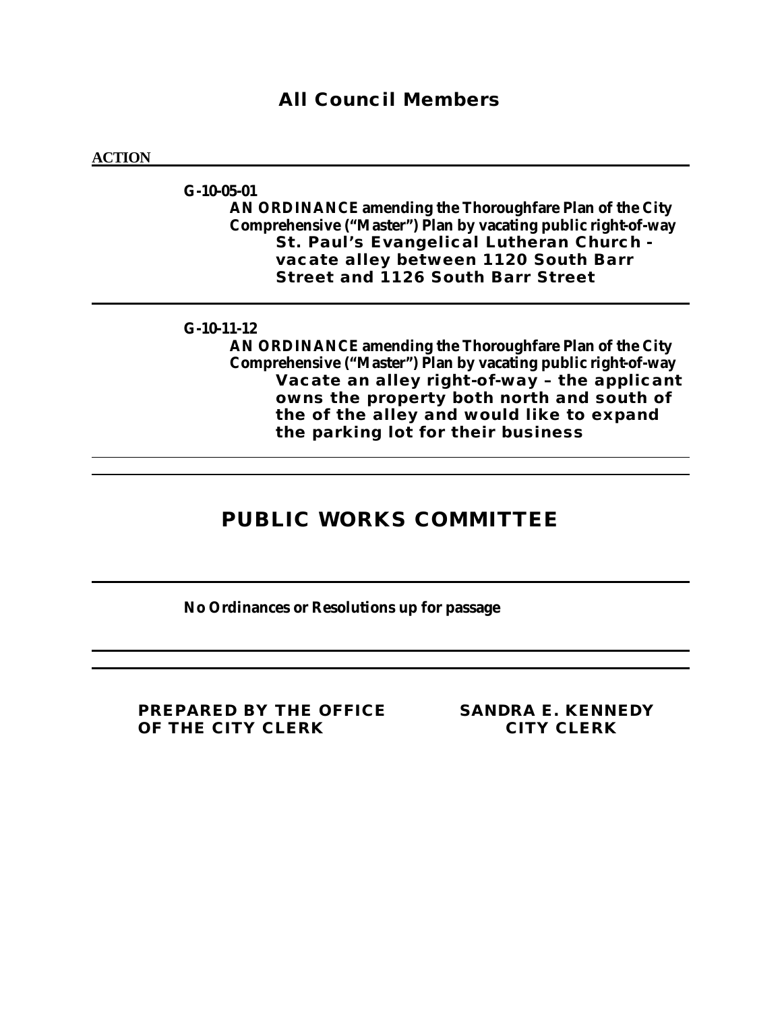### *All Council Members*

#### **ACTION**

**G-10-05-01 AN ORDINANCE amending the Thoroughfare Plan of the City Comprehensive ("Master") Plan by vacating public right-of-way St. Paul's Evangelical Lutheran Church vacate alley between 1120 South Barr Street and 1126 South Barr Street** 

### **G-10-11-12**

**AN ORDINANCE amending the Thoroughfare Plan of the City Comprehensive ("Master") Plan by vacating public right-of-way Vacate an alley right-of-way – the applicant owns the property both north and south of the of the alley and would like to expand the parking lot for their business**

## **PUBLIC WORKS COMMITTEE**

**No Ordinances or Resolutions up for passage**

**PREPARED BY THE OFFICE SANDRA E. KENNEDY OF THE CITY CLERK CITY CLERK**